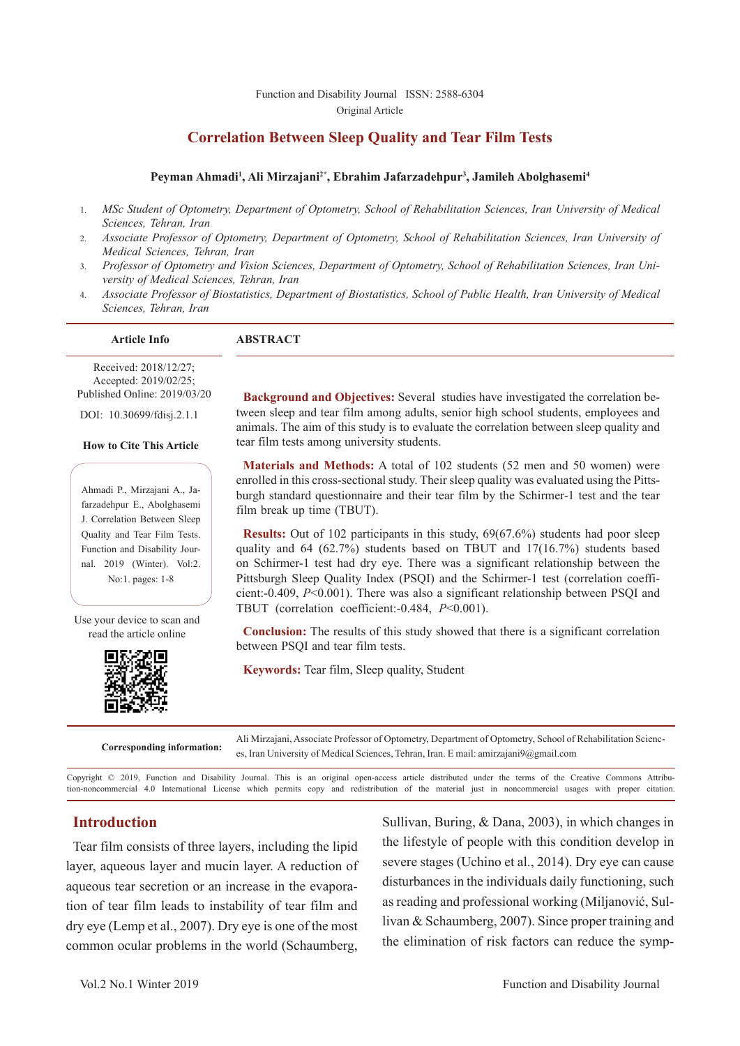#### Function and Disability Journal ISSN: 2588-6304 Original Article

# **Correlation Between Sleep Quality and Tear Film Tests**

#### Peyman Ahmadi<sup>1</sup>, Ali Mirzajani<sup>2\*</sup>, Ebrahim Jafarzadehpur<sup>3</sup>, Jamileh Abolghasemi<sup>4</sup>

- 1. *MSc Student of Optometry, Department of Optometry, School of Rehabilitation Sciences, Iran University of Medical Sciences, Tehran, Iran*
- 2. *Associate Professor of Optometry, Department of Optometry, School of Rehabilitation Sciences, Iran University of Medical Sciences, Tehran, Iran*
- 3. *Professor of Optometry and Vision Sciences, Department of Optometry, School of Rehabilitation Sciences, Iran University of Medical Sciences, Tehran, Iran*
- 4. *Associate Professor of Biostatistics, Department of Biostatistics, School of Public Health, Iran University of Medical Sciences, Tehran, Iran*

**Article Info ABSTRACT**

Received: 2018/12/27; Accepted: 2019/02/25; Published Online: 2019/03/20

DOI: 10.30699/fdisj.2.1.1

#### **How to Cite This Article**

Ahmadi P., Mirzajani A., Jafarzadehpur E., Abolghasemi J. Correlation Between Sleep Quality and Tear Film Tests. Function and Disability Journal. 2019 (Winter). Vol:2. No:1. pages: 1-8

Use your device to scan and read the article online



**Background and Objectives:** Several studies have investigated the correlation between sleep and tear film among adults, senior high school students, employees and animals. The aim of this study is to evaluate the correlation between sleep quality and tear film tests among university students.

**Materials and Methods:** A total of 102 students (52 men and 50 women) were enrolled in this cross-sectional study. Their sleep quality was evaluated using the Pittsburgh standard questionnaire and their tear film by the Schirmer-1 test and the tear film break up time (TBUT).

**Results:** Out of 102 participants in this study, 69(67.6%) students had poor sleep quality and 64 (62.7%) students based on TBUT and 17(16.7%) students based on Schirmer-1 test had dry eye. There was a significant relationship between the Pittsburgh Sleep Quality Index (PSQI) and the Schirmer-1 test (correlation coefficient:-0.409, *P*<0.001). There was also a significant relationship between PSQI and TBUT (correlation coefficient:-0.484, *P*<0.001).

**Conclusion:** The results of this study showed that there is a significant correlation between PSQI and tear film tests.

**Keywords:** Tear film, Sleep quality, Student

**Corresponding information:** Ali Mirzajani, Associate Professor of Optometry, Department of Optometry, School of Rehabilitation Sciences, Iran University of Medical Sciences, Tehran, Iran. E mail: amirzajani9@gmail.com

Copyright © 2019, Function and Disability Journal. This is an original open-access article distributed under the terms of the Creative Commons Attribution-noncommercial 4.0 International License which permits copy and redistribution of the material just in noncommercial usages with proper citation.

## **Introduction**

Tear film consists of three layers, including the lipid layer, aqueous layer and mucin layer. A reduction of aqueous tear secretion or an increase in the evaporation of tear film leads to instability of tear film and dry eye (Lemp et al., 2007). Dry eye is one of the most common ocular problems in the world (Schaumberg,

Sullivan, Buring, & Dana, 2003), in which changes in the lifestyle of people with this condition develop in severe stages (Uchino et al., 2014). Dry eye can cause disturbances in the individuals daily functioning, such as reading and professional working (Miljanović, Sullivan & Schaumberg, 2007). Since proper training and the elimination of risk factors can reduce the symp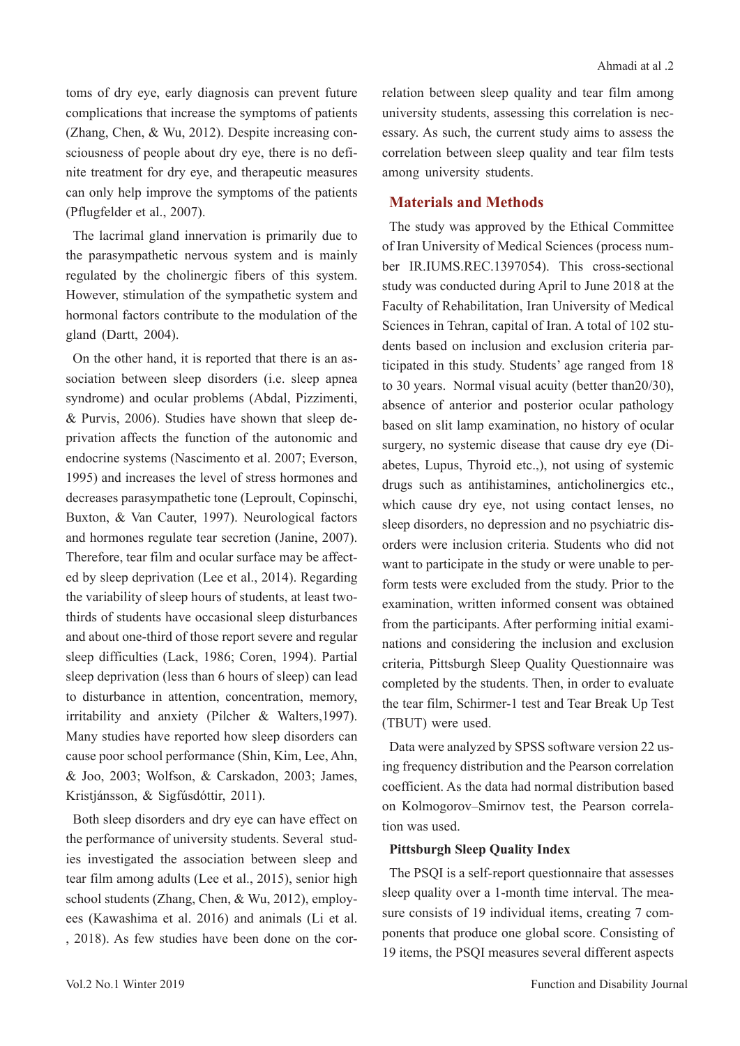toms of dry eye, early diagnosis can prevent future complications that increase the symptoms of patients (Zhang, Chen, & Wu, 2012). Despite increasing consciousness of people about dry eye, there is no definite treatment for dry eye, and therapeutic measures can only help improve the symptoms of the patients (Pflugfelder et al., 2007).

The lacrimal gland innervation is primarily due to the parasympathetic nervous system and is mainly regulated by the cholinergic fibers of this system. However, stimulation of the sympathetic system and hormonal factors contribute to the modulation of the gland (Dartt, 2004).

On the other hand, it is reported that there is an association between sleep disorders (i.e. sleep apnea syndrome) and ocular problems (Abdal, Pizzimenti, & Purvis, 2006). Studies have shown that sleep deprivation affects the function of the autonomic and endocrine systems (Nascimento et al. 2007; Everson, 1995) and increases the level of stress hormones and decreases parasympathetic tone (Leproult, Copinschi, Buxton, & Van Cauter, 1997). Neurological factors and hormones regulate tear secretion (Janine, 2007). Therefore, tear film and ocular surface may be affected by sleep deprivation (Lee et al., 2014). Regarding the variability of sleep hours of students, at least twothirds of students have occasional sleep disturbances and about one-third of those report severe and regular sleep difficulties (Lack, 1986; Coren, 1994). Partial sleep deprivation (less than 6 hours of sleep) can lead to disturbance in attention, concentration, memory, irritability and anxiety (Pilcher & Walters,1997). Many studies have reported how sleep disorders can cause poor school performance (Shin, Kim, Lee, Ahn, & Joo, 2003; Wolfson, & Carskadon, 2003; James, Kristjánsson, & Sigfúsdóttir, 2011).

Both sleep disorders and dry eye can have effect on the performance of university students. Several studies investigated the association between sleep and tear film among adults (Lee et al., 2015), senior high school students (Zhang, Chen, & Wu, 2012), employees (Kawashima et al. 2016) and animals (Li et al. , 2018). As few studies have been done on the correlation between sleep quality and tear film among university students, assessing this correlation is necessary. As such, the current study aims to assess the correlation between sleep quality and tear film tests among university students.

## **Materials and Methods**

The study was approved by the Ethical Committee of Iran University of Medical Sciences (process number IR.IUMS.REC.1397054). This cross-sectional study was conducted during April to June 2018 at the Faculty of Rehabilitation, Iran University of Medical Sciences in Tehran, capital of Iran. A total of 102 students based on inclusion and exclusion criteria participated in this study. Students' age ranged from 18 to 30 years. Normal visual acuity (better than20/30), absence of anterior and posterior ocular pathology based on slit lamp examination, no history of ocular surgery, no systemic disease that cause dry eye (Diabetes, Lupus, Thyroid etc.,), not using of systemic drugs such as antihistamines, anticholinergics etc., which cause dry eye, not using contact lenses, no sleep disorders, no depression and no psychiatric disorders were inclusion criteria. Students who did not want to participate in the study or were unable to perform tests were excluded from the study. Prior to the examination, written informed consent was obtained from the participants. After performing initial examinations and considering the inclusion and exclusion criteria, Pittsburgh Sleep Quality Questionnaire was completed by the students. Then, in order to evaluate the tear film, Schirmer-1 test and Tear Break Up Test (TBUT) were used.

Data were analyzed by SPSS software version 22 using frequency distribution and the Pearson correlation coefficient. As the data had normal distribution based on Kolmogorov–Smirnov test, the Pearson correlation was used.

## **Pittsburgh Sleep Quality Index**

The PSQI is a self-report questionnaire that assesses sleep quality over a 1-month time interval. The measure consists of 19 individual items, creating 7 components that produce one global score. Consisting of 19 items, the PSQI measures several different aspects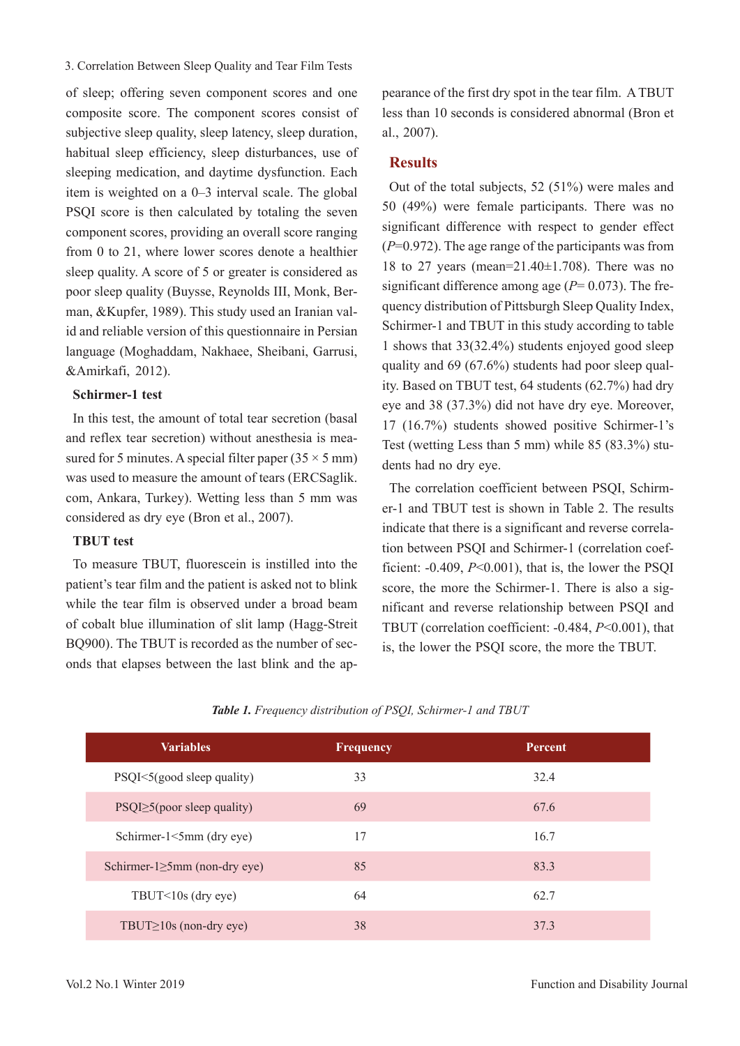#### 3. Correlation Between Sleep Quality and Tear Film Tests

of sleep; offering seven component scores and one composite score. The component scores consist of subjective sleep quality, sleep latency, sleep duration, habitual sleep efficiency, sleep disturbances, use of sleeping medication, and daytime dysfunction. Each item is weighted on a 0–3 interval scale. The global PSQI score is then calculated by totaling the seven component scores, providing an overall score ranging from 0 to 21, where lower scores denote a healthier sleep quality. A score of 5 or greater is considered as poor sleep quality (Buysse, Reynolds III, Monk, Berman, &Kupfer, 1989). This study used an Iranian valid and reliable version of this questionnaire in Persian language (Moghaddam, Nakhaee, Sheibani, Garrusi, &Amirkafi, 2012).

#### **Schirmer-1 test**

In this test, the amount of total tear secretion (basal and reflex tear secretion) without anesthesia is measured for 5 minutes. A special filter paper  $(35 \times 5 \text{ mm})$ was used to measure the amount of tears (ERCSaglik. com, Ankara, Turkey). Wetting less than 5 mm was considered as dry eye (Bron et al., 2007).

## **TBUT test**

To measure TBUT, fluorescein is instilled into the patient's tear film and the patient is asked not to blink while the tear film is observed under a broad beam of cobalt blue illumination of slit lamp (Hagg-Streit BQ900). The TBUT is recorded as the number of seconds that elapses between the last blink and the ap-

pearance of the first dry spot in the tear film. A TBUT less than 10 seconds is considered abnormal (Bron et al., 2007).

## **Results**

Out of the total subjects, 52 (51%) were males and 50 (49%) were female participants. There was no significant difference with respect to gender effect (*P*=0.972). The age range of the participants was from 18 to 27 years (mean= $21.40\pm1.708$ ). There was no significant difference among age  $(P= 0.073)$ . The frequency distribution of Pittsburgh Sleep Quality Index, Schirmer-1 and TBUT in this study according to table 1 shows that 33(32.4%) students enjoyed good sleep quality and 69 (67.6%) students had poor sleep quality. Based on TBUT test, 64 students (62.7%) had dry eye and 38 (37.3%) did not have dry eye. Moreover, 17 (16.7%) students showed positive Schirmer-1's Test (wetting Less than 5 mm) while 85 (83.3%) students had no dry eye.

The correlation coefficient between PSQI, Schirmer-1 and TBUT test is shown in Table 2. The results indicate that there is a significant and reverse correlation between PSQI and Schirmer-1 (correlation coefficient: -0.409, *P*<0.001), that is, the lower the PSQI score, the more the Schirmer-1. There is also a significant and reverse relationship between PSQI and TBUT (correlation coefficient: -0.484, *P*<0.001), that is, the lower the PSQI score, the more the TBUT.

|  |  |  | Table 1. Frequency distribution of PSQI, Schirmer-1 and TBUT |
|--|--|--|--------------------------------------------------------------|
|  |  |  |                                                              |

| <b>Variables</b>                     | <b>Frequency</b> | Percent |  |
|--------------------------------------|------------------|---------|--|
| PSQI<5(good sleep quality)           | 33               | 32.4    |  |
| $PSQI \geq 5$ (poor sleep quality)   | 69               | 67.6    |  |
| Schirmer-1<5mm (dry eye)             | 17               | 16.7    |  |
| Schirmer- $l \ge 5$ mm (non-dry eye) | 85               | 83.3    |  |
| TBUT<10s (dry eye)                   | 64               | 62.7    |  |
| TBUT $\geq$ 10s (non-dry eye)        | 38               | 37.3    |  |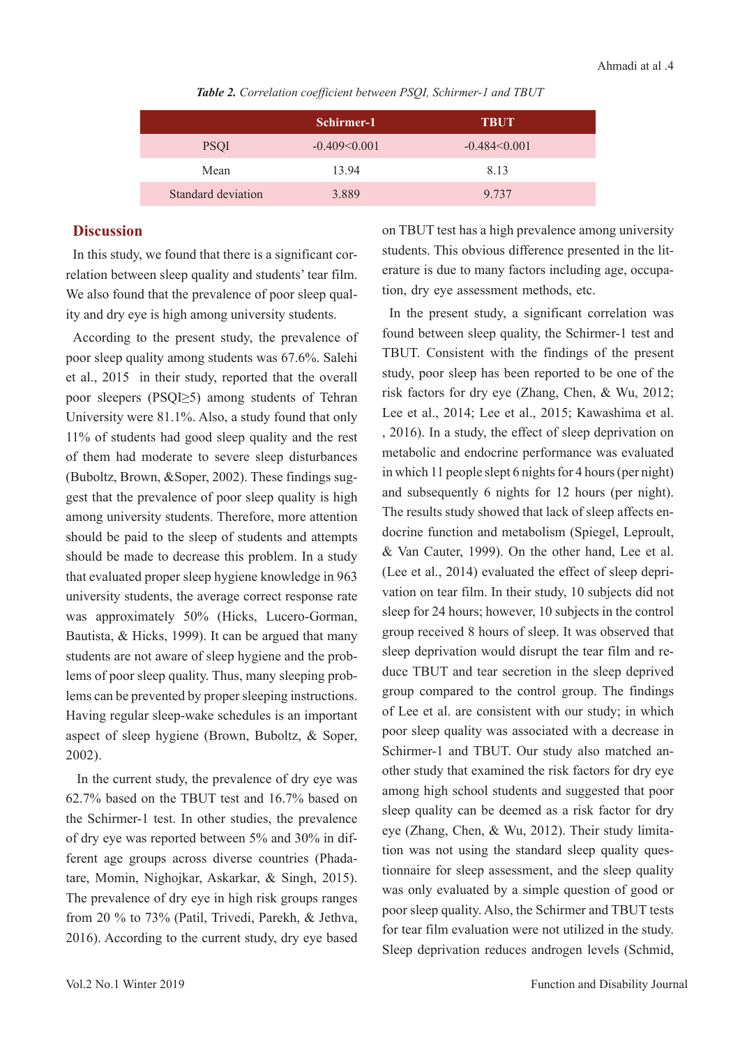*Table 2. Correlation coefficient between PSQI, Schirmer-1 and TBUT*

|                    | Schirmer-1     | <b>TBUT</b>    |
|--------------------|----------------|----------------|
| <b>PSQI</b>        | $-0.409<0.001$ | $-0.484<0.001$ |
| Mean               | 13.94          | 8.13           |
| Standard deviation | 3.889          | 9.737          |

## **Discussion**

In this study, we found that there is a significant correlation between sleep quality and students' tear film. We also found that the prevalence of poor sleep quality and dry eye is high among university students.

According to the present study, the prevalence of poor sleep quality among students was 67.6%. Salehi et al., 2015 in their study, reported that the overall poor sleepers (PSQI≥5) among students of Tehran University were 81.1%. Also, a study found that only 11% of students had good sleep quality and the rest of them had moderate to severe sleep disturbances (Buboltz, Brown, &Soper, 2002). These findings suggest that the prevalence of poor sleep quality is high among university students. Therefore, more attention should be paid to the sleep of students and attempts should be made to decrease this problem. In a study that evaluated proper sleep hygiene knowledge in 963 university students, the average correct response rate was approximately 50% (Hicks, Lucero-Gorman, Bautista, & Hicks, 1999). It can be argued that many students are not aware of sleep hygiene and the problems of poor sleep quality. Thus, many sleeping problems can be prevented by proper sleeping instructions. Having regular sleep-wake schedules is an important aspect of sleep hygiene (Brown, Buboltz, & Soper, 2002).

 In the current study, the prevalence of dry eye was 62.7% based on the TBUT test and 16.7% based on the Schirmer-1 test. In other studies, the prevalence of dry eye was reported between 5% and 30% in different age groups across diverse countries (Phadatare, Momin, Nighojkar, Askarkar, & Singh, 2015). The prevalence of dry eye in high risk groups ranges from 20 % to 73% (Patil, Trivedi, Parekh, & Jethva, 2016). According to the current study, dry eye based

on TBUT test has a high prevalence among university students. This obvious difference presented in the literature is due to many factors including age, occupation, dry eye assessment methods, etc.

In the present study, a significant correlation was found between sleep quality, the Schirmer-1 test and TBUT. Consistent with the findings of the present study, poor sleep has been reported to be one of the risk factors for dry eye (Zhang, Chen, & Wu, 2012; Lee et al., 2014; Lee et al., 2015; Kawashima et al. , 2016). In a study, the effect of sleep deprivation on metabolic and endocrine performance was evaluated in which 11 people slept 6 nights for 4 hours (per night) and subsequently 6 nights for 12 hours (per night). The results study showed that lack of sleep affects endocrine function and metabolism (Spiegel, Leproult, & Van Cauter, 1999). On the other hand, Lee et al. (Lee et al., 2014) evaluated the effect of sleep deprivation on tear film. In their study, 10 subjects did not sleep for 24 hours; however, 10 subjects in the control group received 8 hours of sleep. It was observed that sleep deprivation would disrupt the tear film and reduce TBUT and tear secretion in the sleep deprived group compared to the control group. The findings of Lee et al. are consistent with our study; in which poor sleep quality was associated with a decrease in Schirmer-1 and TBUT. Our study also matched another study that examined the risk factors for dry eye among high school students and suggested that poor sleep quality can be deemed as a risk factor for dry eye (Zhang, Chen, & Wu, 2012). Their study limitation was not using the standard sleep quality questionnaire for sleep assessment, and the sleep quality was only evaluated by a simple question of good or poor sleep quality. Also, the Schirmer and TBUT tests for tear film evaluation were not utilized in the study. Sleep deprivation reduces androgen levels (Schmid,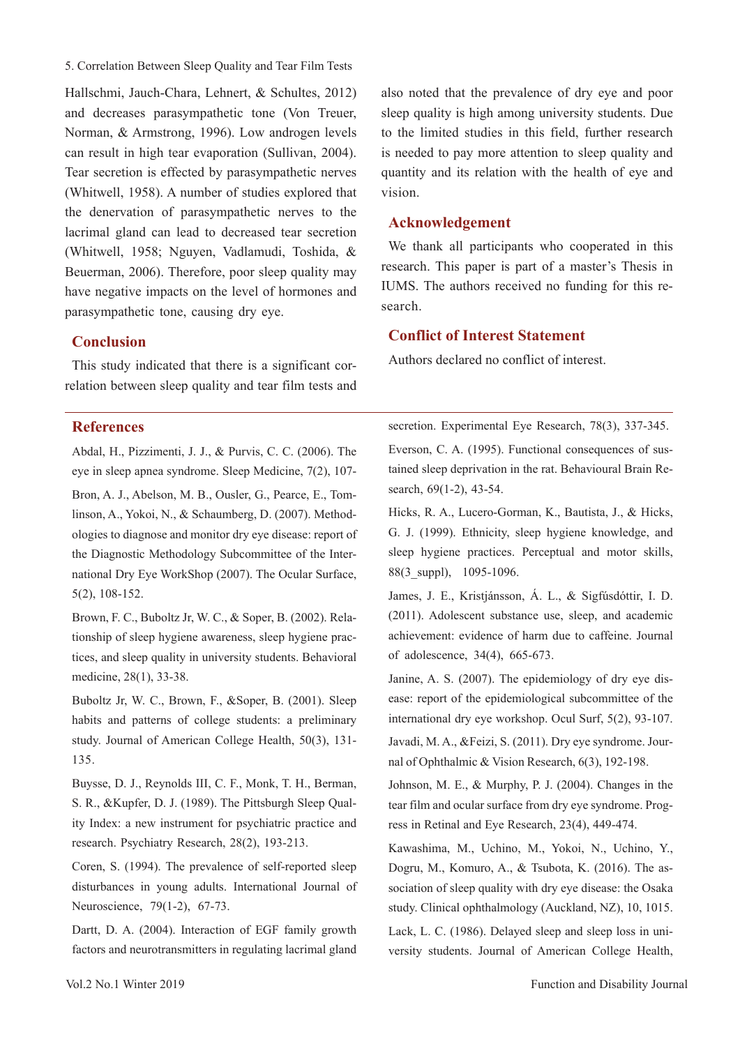5. Correlation Between Sleep Quality and Tear Film Tests

Hallschmi, Jauch‐Chara, Lehnert, & Schultes, 2012) and decreases parasympathetic tone (Von Treuer, Norman, & Armstrong, 1996). Low androgen levels can result in high tear evaporation (Sullivan, 2004). Tear secretion is effected by parasympathetic nerves (Whitwell, 1958). A number of studies explored that the denervation of parasympathetic nerves to the lacrimal gland can lead to decreased tear secretion (Whitwell, 1958; Nguyen, Vadlamudi, Toshida, & Beuerman, 2006). Therefore, poor sleep quality may have negative impacts on the level of hormones and parasympathetic tone, causing dry eye.

### **Conclusion**

This study indicated that there is a significant correlation between sleep quality and tear film tests and

### **References**

Abdal, H., Pizzimenti, J. J., & Purvis, C. C. (2006). The eye in sleep apnea syndrome. Sleep Medicine, 7(2), 107- Bron, A. J., Abelson, M. B., Ousler, G., Pearce, E., Tomlinson, A., Yokoi, N., & Schaumberg, D. (2007). Methodologies to diagnose and monitor dry eye disease: report of the Diagnostic Methodology Subcommittee of the International Dry Eye WorkShop (2007). The Ocular Surface, 5(2), 108-152.

Brown, F. C., Buboltz Jr, W. C., & Soper, B. (2002). Relationship of sleep hygiene awareness, sleep hygiene practices, and sleep quality in university students. Behavioral medicine, 28(1), 33-38.

Buboltz Jr, W. C., Brown, F., &Soper, B. (2001). Sleep habits and patterns of college students: a preliminary study. Journal of American College Health, 50(3), 131- 135.

Buysse, D. J., Reynolds III, C. F., Monk, T. H., Berman, S. R., &Kupfer, D. J. (1989). The Pittsburgh Sleep Quality Index: a new instrument for psychiatric practice and research. Psychiatry Research, 28(2), 193-213.

Coren, S. (1994). The prevalence of self-reported sleep disturbances in young adults. International Journal of Neuroscience, 79(1-2), 67-73.

Dartt, D. A. (2004). Interaction of EGF family growth factors and neurotransmitters in regulating lacrimal gland also noted that the prevalence of dry eye and poor sleep quality is high among university students. Due to the limited studies in this field, further research is needed to pay more attention to sleep quality and quantity and its relation with the health of eye and vision.

### **Acknowledgement**

We thank all participants who cooperated in this research. This paper is part of a master's Thesis in IUMS. The authors received no funding for this research.

# **Conflict of Interest Statement**

Authors declared no conflict of interest.

secretion. Experimental Eye Research, 78(3), 337-345. Everson, C. A. (1995). Functional consequences of sustained sleep deprivation in the rat. Behavioural Brain Research, 69(1-2), 43-54.

Hicks, R. A., Lucero-Gorman, K., Bautista, J., & Hicks, G. J. (1999). Ethnicity, sleep hygiene knowledge, and sleep hygiene practices. Perceptual and motor skills, 88(3\_suppl), 1095-1096.

James, J. E., Kristjánsson, Á. L., & Sigfúsdóttir, I. D. (2011). Adolescent substance use, sleep, and academic achievement: evidence of harm due to caffeine. Journal of adolescence, 34(4), 665-673.

Janine, A. S. (2007). The epidemiology of dry eye disease: report of the epidemiological subcommittee of the international dry eye workshop. Ocul Surf, 5(2), 93-107.

Javadi, M. A., &Feizi, S. (2011). Dry eye syndrome. Journal of Ophthalmic & Vision Research, 6(3), 192-198.

Johnson, M. E., & Murphy, P. J. (2004). Changes in the tear film and ocular surface from dry eye syndrome. Progress in Retinal and Eye Research, 23(4), 449-474.

Kawashima, M., Uchino, M., Yokoi, N., Uchino, Y., Dogru, M., Komuro, A., & Tsubota, K. (2016). The association of sleep quality with dry eye disease: the Osaka study. Clinical ophthalmology (Auckland, NZ), 10, 1015.

Lack, L. C. (1986). Delayed sleep and sleep loss in university students. Journal of American College Health,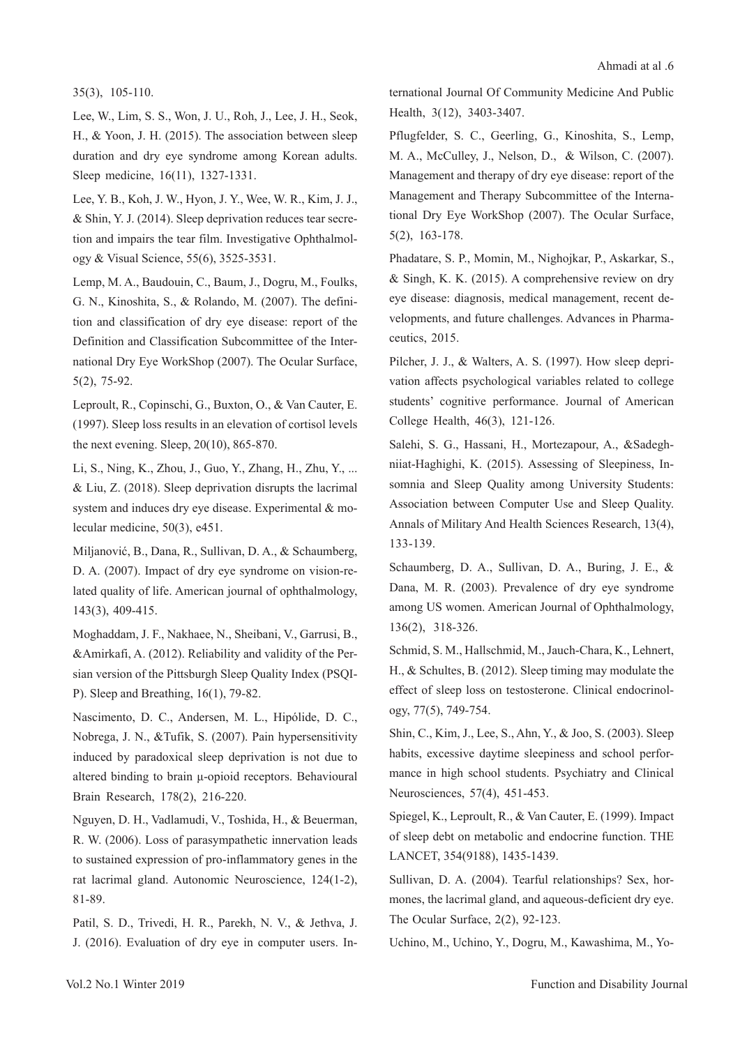#### 35(3), 105-110.

Lee, W., Lim, S. S., Won, J. U., Roh, J., Lee, J. H., Seok, H., & Yoon, J. H. (2015). The association between sleep duration and dry eye syndrome among Korean adults. Sleep medicine, 16(11), 1327-1331.

Lee, Y. B., Koh, J. W., Hyon, J. Y., Wee, W. R., Kim, J. J., & Shin, Y. J. (2014). Sleep deprivation reduces tear secretion and impairs the tear film. Investigative Ophthalmology & Visual Science, 55(6), 3525-3531.

Lemp, M. A., Baudouin, C., Baum, J., Dogru, M., Foulks, G. N., Kinoshita, S., & Rolando, M. (2007). The definition and classification of dry eye disease: report of the Definition and Classification Subcommittee of the International Dry Eye WorkShop (2007). The Ocular Surface, 5(2), 75-92.

Leproult, R., Copinschi, G., Buxton, O., & Van Cauter, E. (1997). Sleep loss results in an elevation of cortisol levels the next evening. Sleep, 20(10), 865-870.

Li, S., Ning, K., Zhou, J., Guo, Y., Zhang, H., Zhu, Y., ... & Liu, Z. (2018). Sleep deprivation disrupts the lacrimal system and induces dry eye disease. Experimental & molecular medicine, 50(3), e451.

Miljanović, B., Dana, R., Sullivan, D. A., & Schaumberg, D. A. (2007). Impact of dry eye syndrome on vision-related quality of life. American journal of ophthalmology, 143(3), 409-415.

Moghaddam, J. F., Nakhaee, N., Sheibani, V., Garrusi, B., &Amirkafi, A. (2012). Reliability and validity of the Persian version of the Pittsburgh Sleep Quality Index (PSQI-P). Sleep and Breathing, 16(1), 79-82.

Nascimento, D. C., Andersen, M. L., Hipólide, D. C., Nobrega, J. N., &Tufik, S. (2007). Pain hypersensitivity induced by paradoxical sleep deprivation is not due to altered binding to brain μ-opioid receptors. Behavioural Brain Research, 178(2), 216-220.

Nguyen, D. H., Vadlamudi, V., Toshida, H., & Beuerman, R. W. (2006). Loss of parasympathetic innervation leads to sustained expression of pro-inflammatory genes in the rat lacrimal gland. Autonomic Neuroscience, 124(1-2), 81-89.

Patil, S. D., Trivedi, H. R., Parekh, N. V., & Jethva, J. J. (2016). Evaluation of dry eye in computer users. International Journal Of Community Medicine And Public Health, 3(12), 3403-3407.

Pflugfelder, S. C., Geerling, G., Kinoshita, S., Lemp, M. A., McCulley, J., Nelson, D., & Wilson, C. (2007). Management and therapy of dry eye disease: report of the Management and Therapy Subcommittee of the International Dry Eye WorkShop (2007). The Ocular Surface, 5(2), 163-178.

Phadatare, S. P., Momin, M., Nighojkar, P., Askarkar, S., & Singh, K. K. (2015). A comprehensive review on dry eye disease: diagnosis, medical management, recent developments, and future challenges. Advances in Pharmaceutics, 2015.

Pilcher, J. J., & Walters, A. S. (1997). How sleep deprivation affects psychological variables related to college students' cognitive performance. Journal of American College Health, 46(3), 121-126.

Salehi, S. G., Hassani, H., Mortezapour, A., &Sadeghniiat-Haghighi, K. (2015). Assessing of Sleepiness, Insomnia and Sleep Ouality among University Students: Association between Computer Use and Sleep Quality. Annals of Military And Health Sciences Research, 13(4), 133-139.

Schaumberg, D. A., Sullivan, D. A., Buring, J. E., & Dana, M. R. (2003). Prevalence of dry eye syndrome among US women. American Journal of Ophthalmology, 136(2), 318-326.

Schmid, S. M., Hallschmid, M., Jauch‐Chara, K., Lehnert, H., & Schultes, B. (2012). Sleep timing may modulate the effect of sleep loss on testosterone. Clinical endocrinology, 77(5), 749-754.

Shin, C., Kim, J., Lee, S., Ahn, Y., & Joo, S. (2003). Sleep habits, excessive daytime sleepiness and school performance in high school students. Psychiatry and Clinical Neurosciences, 57(4), 451-453.

Spiegel, K., Leproult, R., & Van Cauter, E. (1999). Impact of sleep debt on metabolic and endocrine function. THE LANCET, 354(9188), 1435-1439.

Sullivan, D. A. (2004). Tearful relationships? Sex, hormones, the lacrimal gland, and aqueous-deficient dry eye. The Ocular Surface, 2(2), 92-123.

Uchino, M., Uchino, Y., Dogru, M., Kawashima, M., Yo-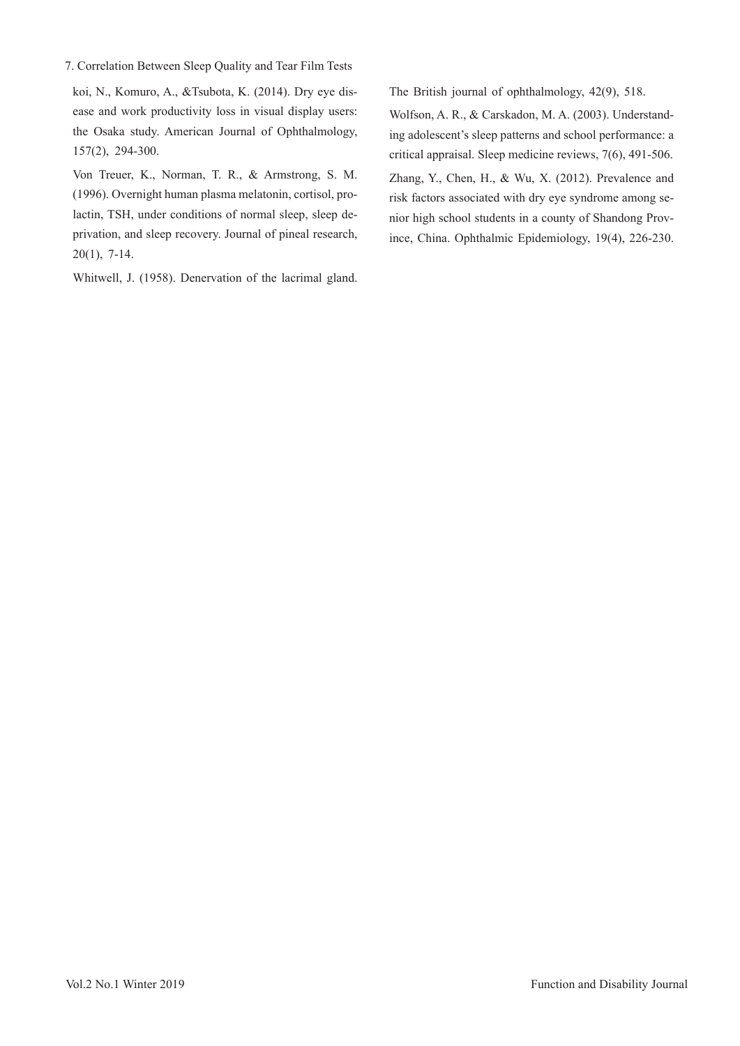7. Correlation Between Sleep Quality and Tear Film Tests

koi, N., Komuro, A., &Tsubota, K. (2014). Dry eye disease and work productivity loss in visual display users: the Osaka study. American Journal of Ophthalmology, 157(2), 294-300.

Von Treuer, K., Norman, T. R., & Armstrong, S. M. (1996). Overnight human plasma melatonin, cortisol, prolactin, TSH, under conditions of normal sleep, sleep deprivation, and sleep recovery. Journal of pineal research, 20(1), 7-14.

Whitwell, J. (1958). Denervation of the lacrimal gland.

The British journal of ophthalmology, 42(9), 518.

Wolfson, A. R., & Carskadon, M. A. (2003). Understanding adolescent's sleep patterns and school performance: a critical appraisal. Sleep medicine reviews, 7(6), 491-506. Zhang, Y., Chen, H., & Wu, X. (2012). Prevalence and risk factors associated with dry eye syndrome among senior high school students in a county of Shandong Province, China. Ophthalmic Epidemiology, 19(4), 226-230.